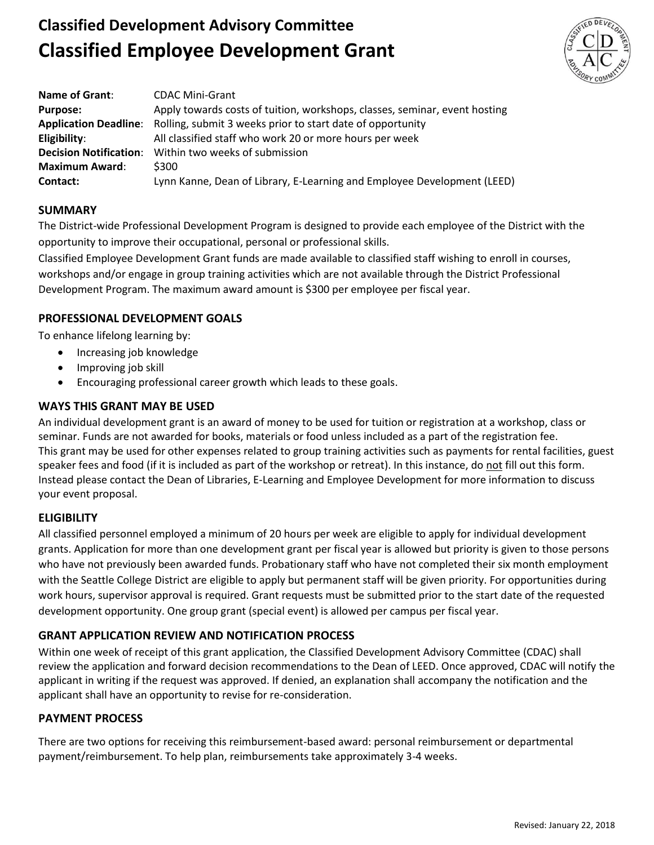# **Classified Development Advisory Committee Classified Employee Development Grant**



| <b>Name of Grant:</b>         | <b>CDAC Mini-Grant</b>                                                           |
|-------------------------------|----------------------------------------------------------------------------------|
| <b>Purpose:</b>               | Apply towards costs of tuition, workshops, classes, seminar, event hosting       |
|                               | Application Deadline: Rolling, submit 3 weeks prior to start date of opportunity |
| Eligibility:                  | All classified staff who work 20 or more hours per week                          |
| <b>Decision Notification:</b> | Within two weeks of submission                                                   |
| <b>Maximum Award:</b>         | \$300                                                                            |
| Contact:                      | Lynn Kanne, Dean of Library, E-Learning and Employee Development (LEED)          |

## **SUMMARY**

The District-wide Professional Development Program is designed to provide each employee of the District with the opportunity to improve their occupational, personal or professional skills.

Classified Employee Development Grant funds are made available to classified staff wishing to enroll in courses, workshops and/or engage in group training activities which are not available through the District Professional Development Program. The maximum award amount is \$300 per employee per fiscal year.

## **PROFESSIONAL DEVELOPMENT GOALS**

To enhance lifelong learning by:

- Increasing job knowledge
- Improving job skill
- Encouraging professional career growth which leads to these goals.

## **WAYS THIS GRANT MAY BE USED**

An individual development grant is an award of money to be used for tuition or registration at a workshop, class or seminar. Funds are not awarded for books, materials or food unless included as a part of the registration fee. This grant may be used for other expenses related to group training activities such as payments for rental facilities, guest speaker fees and food (if it is included as part of the workshop or retreat). In this instance, do not fill out this form. Instead please contact the Dean of Libraries, E-Learning and Employee Development for more information to discuss your event proposal.

### **ELIGIBILITY**

All classified personnel employed a minimum of 20 hours per week are eligible to apply for individual development grants. Application for more than one development grant per fiscal year is allowed but priority is given to those persons who have not previously been awarded funds. Probationary staff who have not completed their six month employment with the Seattle College District are eligible to apply but permanent staff will be given priority. For opportunities during work hours, supervisor approval is required. Grant requests must be submitted prior to the start date of the requested development opportunity. One group grant (special event) is allowed per campus per fiscal year.

# **GRANT APPLICATION REVIEW AND NOTIFICATION PROCESS**

Within one week of receipt of this grant application, the Classified Development Advisory Committee (CDAC) shall review the application and forward decision recommendations to the Dean of LEED. Once approved, CDAC will notify the applicant in writing if the request was approved. If denied, an explanation shall accompany the notification and the applicant shall have an opportunity to revise for re-consideration.

### **PAYMENT PROCESS**

There are two options for receiving this reimbursement-based award: personal reimbursement or departmental payment/reimbursement. To help plan, reimbursements take approximately 3-4 weeks.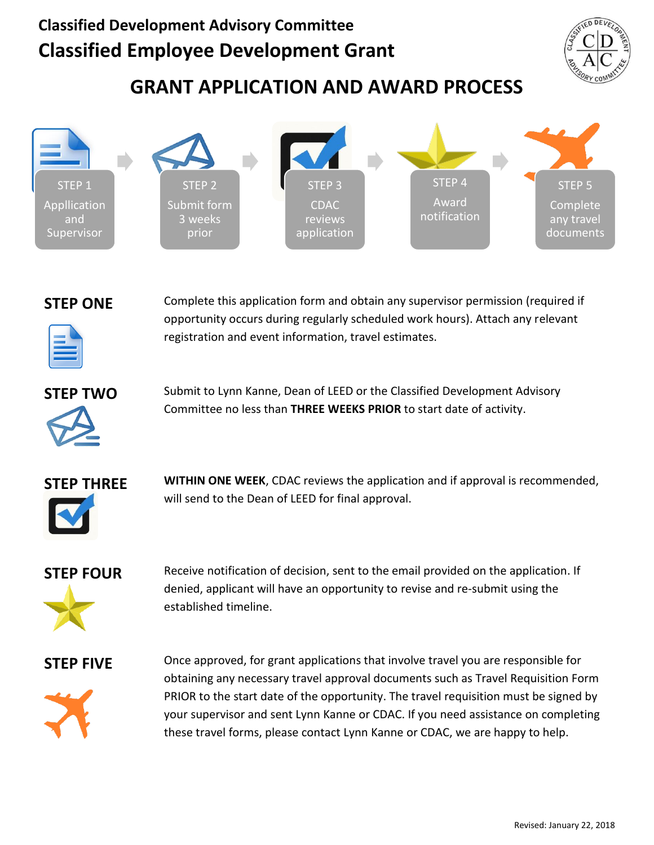# **Classified Development Advisory Committee Classified Employee Development Grant**



# **GRANT APPLICATION AND AWARD PROCESS**





**STEP ONE** Complete this application form and obtain any supervisor permission (required if opportunity occurs during regularly scheduled work hours). Attach any relevant registration and event information, travel estimates.



**STEP TWO** Submit to Lynn Kanne, Dean of LEED or the Classified Development Advisory Committee no less than **THREE WEEKS PRIOR** to start date of activity.



**STEP THREE WITHIN ONE WEEK**, CDAC reviews the application and if approval is recommended, will send to the Dean of LEED for final approval.



**STEP FOUR** Receive notification of decision, sent to the email provided on the application. If denied, applicant will have an opportunity to revise and re-submit using the established timeline.



**STEP FIVE** Once approved, for grant applications that involve travel you are responsible for obtaining any necessary travel approval documents such as Travel Requisition Form PRIOR to the start date of the opportunity. The travel requisition must be signed by your supervisor and sent Lynn Kanne or CDAC. If you need assistance on completing these travel forms, please contact Lynn Kanne or CDAC, we are happy to help.